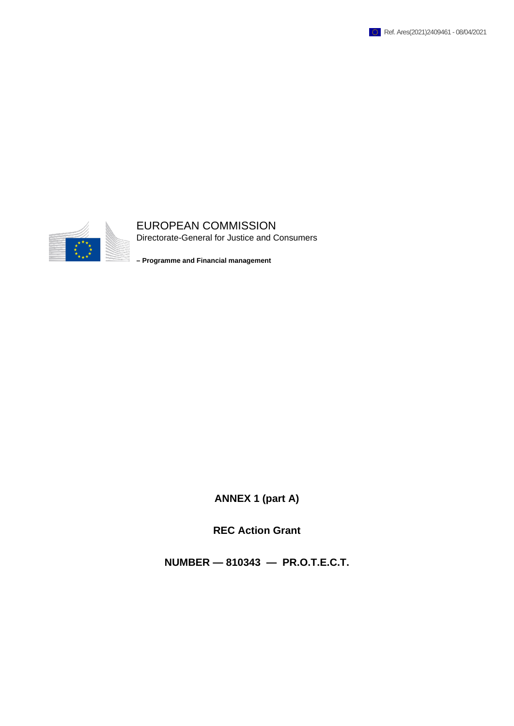



## EUROPEAN COMMISSION

Directorate-General for Justice and Consumers

**– Programme and Financial management**

**ANNEX 1 (part A)**

**REC Action Grant**

**NUMBER — 810343 — PR.O.T.E.C.T.**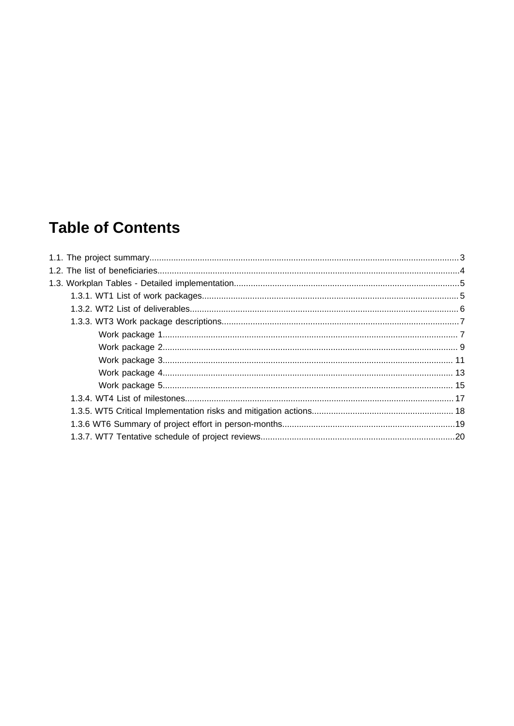# **Table of Contents**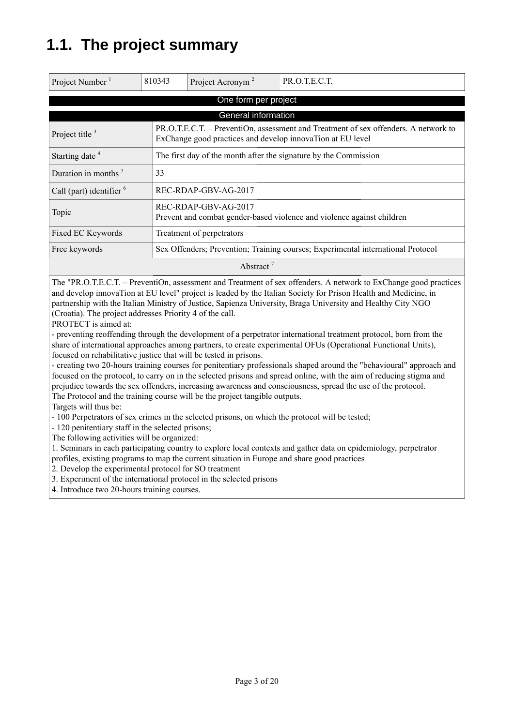# **1.1. The project summary**

| Project Number <sup>1</sup>                                                                                                                                            | 810343                                                                                         | Project Acronym <sup>2</sup>                                     | PR.O.T.E.C.T. |  |  |  |
|------------------------------------------------------------------------------------------------------------------------------------------------------------------------|------------------------------------------------------------------------------------------------|------------------------------------------------------------------|---------------|--|--|--|
| One form per project                                                                                                                                                   |                                                                                                |                                                                  |               |  |  |  |
|                                                                                                                                                                        |                                                                                                | General information                                              |               |  |  |  |
| PR.O.T.E.C.T. – PreventiOn, assessment and Treatment of sex offenders. A network to<br>Project title $3$<br>ExChange good practices and develop innovaTion at EU level |                                                                                                |                                                                  |               |  |  |  |
| Starting date <sup>4</sup>                                                                                                                                             |                                                                                                | The first day of the month after the signature by the Commission |               |  |  |  |
| Duration in months <sup>5</sup>                                                                                                                                        | 33                                                                                             |                                                                  |               |  |  |  |
| Call (part) identifier $6$                                                                                                                                             |                                                                                                | REC-RDAP-GBV-AG-2017                                             |               |  |  |  |
| Topic                                                                                                                                                                  | REC-RDAP-GBV-AG-2017<br>Prevent and combat gender-based violence and violence against children |                                                                  |               |  |  |  |
| Fixed EC Keywords                                                                                                                                                      |                                                                                                | Treatment of perpetrators                                        |               |  |  |  |
| Free keywords                                                                                                                                                          | Sex Offenders; Prevention; Training courses; Experimental international Protocol               |                                                                  |               |  |  |  |
| Abstract <sup>7</sup>                                                                                                                                                  |                                                                                                |                                                                  |               |  |  |  |

The "PR.O.T.E.C.T. – PreventiOn, assessment and Treatment of sex offenders. A network to ExChange good practices and develop innovaTion at EU level" project is leaded by the Italian Society for Prison Health and Medicine, in partnership with the Italian Ministry of Justice, Sapienza University, Braga University and Healthy City NGO (Croatia). The project addresses Priority 4 of the call.

PROTECT is aimed at:

- preventing reoffending through the development of a perpetrator international treatment protocol, born from the share of international approaches among partners, to create experimental OFUs (Operational Functional Units), focused on rehabilitative justice that will be tested in prisons.

- creating two 20-hours training courses for penitentiary professionals shaped around the "behavioural" approach and focused on the protocol, to carry on in the selected prisons and spread online, with the aim of reducing stigma and prejudice towards the sex offenders, increasing awareness and consciousness, spread the use of the protocol. The Protocol and the training course will be the project tangible outputs.

Targets will thus be:

- 100 Perpetrators of sex crimes in the selected prisons, on which the protocol will be tested;

- 120 penitentiary staff in the selected prisons;

The following activities will be organized:

1. Seminars in each participating country to explore local contexts and gather data on epidemiology, perpetrator profiles, existing programs to map the current situation in Europe and share good practices

2. Develop the experimental protocol for SO treatment

3. Experiment of the international protocol in the selected prisons

4. Introduce two 20-hours training courses.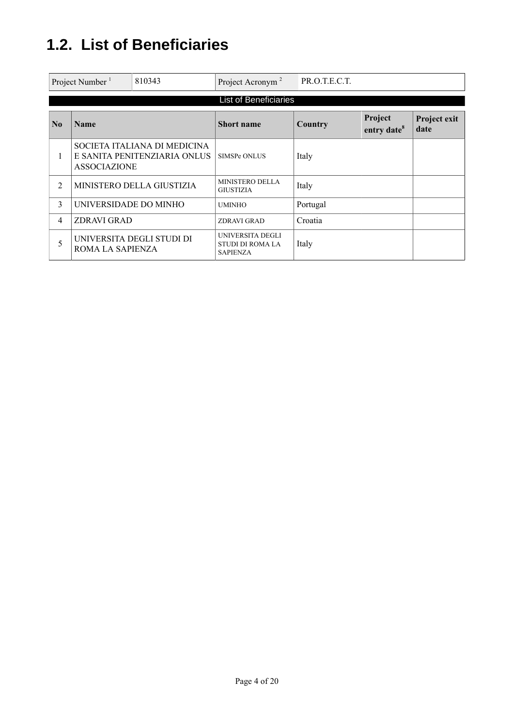# **1.2. List of Beneficiaries**

|                | Project Number <sup>1</sup> | 810343                                                       | Project Acronym <sup>2</sup>                                   | PR.O.T.E.C.T. |                                    |                      |
|----------------|-----------------------------|--------------------------------------------------------------|----------------------------------------------------------------|---------------|------------------------------------|----------------------|
|                |                             |                                                              | <b>List of Beneficiaries</b>                                   |               |                                    |                      |
| N <sub>0</sub> | <b>Name</b>                 |                                                              | <b>Short name</b>                                              | Country       | Project<br>entry date <sup>8</sup> | Project exit<br>date |
| 1              | <b>ASSOCIAZIONE</b>         | SOCIETA ITALIANA DI MEDICINA<br>E SANITA PENITENZIARIA ONLUS | <b>SIMSPe ONLUS</b>                                            | Italy         |                                    |                      |
| $\mathfrak{D}$ |                             | MINISTERO DELLA GIUSTIZIA                                    | <b>MINISTERO DELLA</b><br><b>GIUSTIZIA</b>                     | Italy         |                                    |                      |
| 3              | UNIVERSIDADE DO MINHO       |                                                              | <b>UMINHO</b>                                                  | Portugal      |                                    |                      |
| 4              | <b>ZDRAVI GRAD</b>          |                                                              | <b>ZDRAVI GRAD</b>                                             | Croatia       |                                    |                      |
| 5              | ROMA LA SAPIENZA            | UNIVERSITA DEGLI STUDI DI                                    | UNIVERSITA DEGLI<br><b>STUDI DI ROMA LA</b><br><b>SAPIENZA</b> | Italy         |                                    |                      |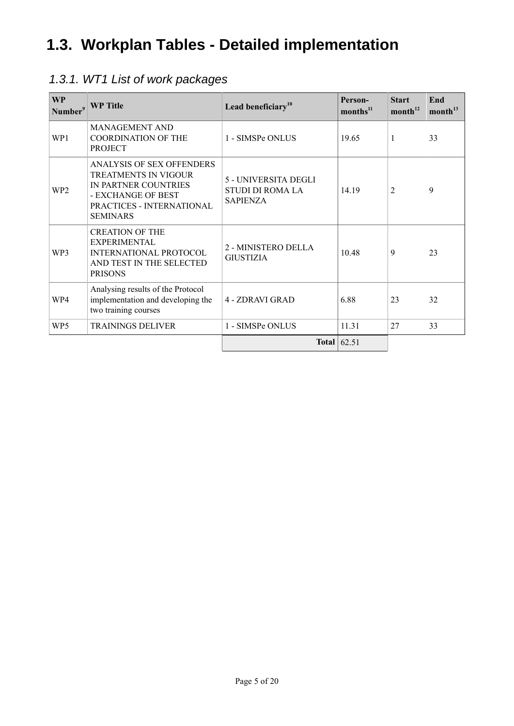# **1.3. Workplan Tables - Detailed implementation**

## 1.3.1. WT1 List of work packages

| <b>WP</b><br>Number <sup>9</sup> | <b>WP</b> Title                                                                                                                                               | Lead beneficiary <sup>10</sup>                                     | Person-<br>$\text{months}^{11}$ | <b>Start</b><br>month <sup>12</sup> | End<br>month <sup>13</sup> |
|----------------------------------|---------------------------------------------------------------------------------------------------------------------------------------------------------------|--------------------------------------------------------------------|---------------------------------|-------------------------------------|----------------------------|
| WP1                              | <b>MANAGEMENT AND</b><br><b>COORDINATION OF THE</b><br><b>PROJECT</b>                                                                                         | 1 - SIMSPe ONLUS                                                   | 19.65                           | 1                                   | 33                         |
| WP <sub>2</sub>                  | <b>ANALYSIS OF SEX OFFENDERS</b><br><b>TREATMENTS IN VIGOUR</b><br>IN PARTNER COUNTRIES<br>- EXCHANGE OF BEST<br>PRACTICES - INTERNATIONAL<br><b>SEMINARS</b> | 5 - UNIVERSITA DEGLI<br><b>STUDI DI ROMA LA</b><br><b>SAPIENZA</b> | 14.19                           | $\overline{2}$                      | 9                          |
| WP3                              | <b>CREATION OF THE</b><br>EXPERIMENTAL<br>INTERNATIONAL PROTOCOL<br>AND TEST IN THE SELECTED<br><b>PRISONS</b>                                                | 2 - MINISTERO DELLA<br><b>GIUSTIZIA</b>                            | 10.48                           | 9                                   | 23                         |
| WP4                              | Analysing results of the Protocol<br>implementation and developing the<br>two training courses                                                                | 4 - ZDRAVI GRAD                                                    | 6.88                            | 23                                  | 32                         |
| WP5                              | <b>TRAININGS DELIVER</b>                                                                                                                                      | 1 - SIMSPe ONLUS                                                   | 11.31                           | 27                                  | 33                         |
|                                  |                                                                                                                                                               |                                                                    | Total $ 62.51$                  |                                     |                            |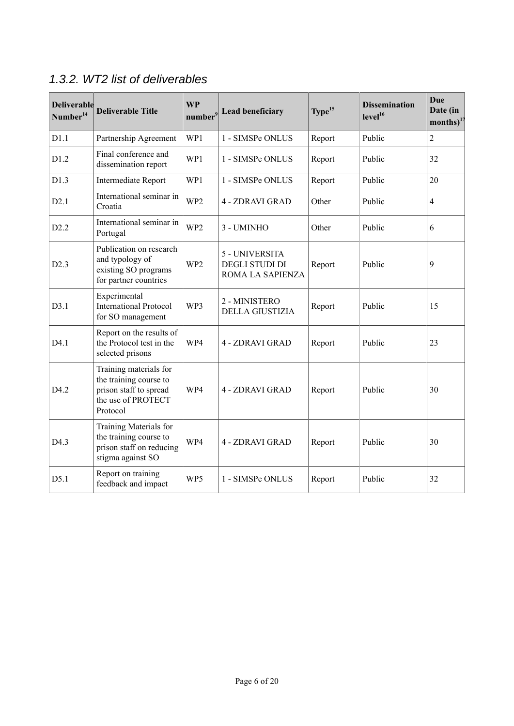| <b>Deliverable</b><br>Number <sup>14</sup> | <b>Deliverable Title</b>                                                                                     | <b>WP</b><br>number <sup>9</sup> | <b>Lead beneficiary</b>                              | Type <sup>15</sup> | <b>Dissemination</b><br>level <sup>16</sup> | <b>Due</b><br>Date (in<br>$\text{months}\right)^{17}$ |
|--------------------------------------------|--------------------------------------------------------------------------------------------------------------|----------------------------------|------------------------------------------------------|--------------------|---------------------------------------------|-------------------------------------------------------|
| D1.1                                       | Partnership Agreement                                                                                        | WP1                              | 1 - SIMSPe ONLUS                                     | Report             | Public                                      | $\overline{2}$                                        |
| D1.2                                       | Final conference and<br>dissemination report                                                                 | WP1                              | 1 - SIMSPe ONLUS                                     | Report             | Public                                      | 32                                                    |
| D1.3                                       | Intermediate Report                                                                                          | WP1                              | 1 - SIMSPe ONLUS                                     | Report             | Public                                      | 20                                                    |
| D2.1                                       | International seminar in<br>Croatia                                                                          | WP <sub>2</sub>                  | 4 - ZDRAVI GRAD                                      | Other              | Public                                      | $\overline{4}$                                        |
| D2.2                                       | International seminar in<br>Portugal                                                                         | WP <sub>2</sub>                  | 3 - UMINHO                                           | Other              | Public                                      | 6                                                     |
| D2.3                                       | Publication on research<br>and typology of<br>existing SO programs<br>for partner countries                  | WP <sub>2</sub>                  | 5 - UNIVERSITA<br>DEGLI STUDI DI<br>ROMA LA SAPIENZA | Report             | Public                                      | 9                                                     |
| D3.1                                       | Experimental<br><b>International Protocol</b><br>for SO management                                           | WP3                              | 2 - MINISTERO<br><b>DELLA GIUSTIZIA</b>              | Report             | Public                                      | 15                                                    |
| D4.1                                       | Report on the results of<br>the Protocol test in the<br>selected prisons                                     | WP4                              | 4 - ZDRAVI GRAD                                      | Report             | Public                                      | 23                                                    |
| D4.2                                       | Training materials for<br>the training course to<br>prison staff to spread<br>the use of PROTECT<br>Protocol | WP4                              | 4 - ZDRAVI GRAD                                      | Report             | Public                                      | 30                                                    |
| D4.3                                       | Training Materials for<br>the training course to<br>prison staff on reducing<br>stigma against SO            | WP4                              | 4 - ZDRAVI GRAD                                      | Report             | Public                                      | 30                                                    |
| D5.1                                       | Report on training<br>feedback and impact                                                                    | WP5                              | 1 - SIMSPe ONLUS                                     | Report             | Public                                      | 32                                                    |

## 1.3.2. WT2 list of deliverables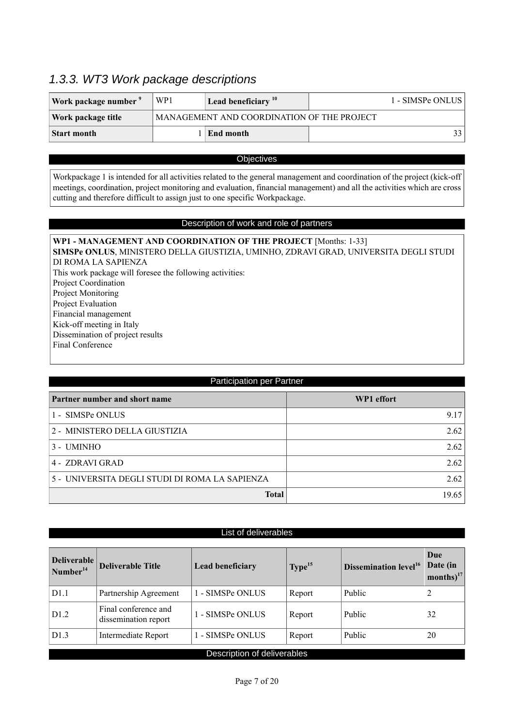## 1.3.3. WT3 Work package descriptions

| Work package number | WP1 | Lead beneficiary $10$                      | 1 - SIMSPe ONLUS |
|---------------------|-----|--------------------------------------------|------------------|
| Work package title  |     | MANAGEMENT AND COORDINATION OF THE PROJECT |                  |
| Start month         |     | End month                                  |                  |

## **Objectives**

Workpackage 1 is intended for all activities related to the general management and coordination of the project (kick-off meetings, coordination, project monitoring and evaluation, financial management) and all the activities which are cross cutting and therefore difficult to assign just to one specific Workpackage.

## Description of work and role of partners

| WP1 - MANAGEMENT AND COORDINATION OF THE PROJECT [Months: 1-33]                      |
|--------------------------------------------------------------------------------------|
| SIMSPe ONLUS, MINISTERO DELLA GIUSTIZIA, UMINHO, ZDRAVI GRAD, UNIVERSITA DEGLI STUDI |
| DI ROMA LA SAPIENZA                                                                  |
| This work package will foresee the following activities:                             |
| Project Coordination                                                                 |
| Project Monitoring                                                                   |
| Project Evaluation                                                                   |
| Financial management                                                                 |
| Kick-off meeting in Italy                                                            |
| Dissemination of project results                                                     |
| Final Conference                                                                     |
|                                                                                      |

| Participation per Partner                      |            |  |  |
|------------------------------------------------|------------|--|--|
| Partner number and short name                  | WP1 effort |  |  |
| 1 - SIMSPe ONLUS                               | 9.17       |  |  |
| 2 - MINISTERO DELLA GIUSTIZIA                  | 2.62       |  |  |
| 3 - UMINHO                                     | 2.62       |  |  |
| 4 - ZDRAVI GRAD                                | 2.62       |  |  |
| 5 - UNIVERSITA DEGLI STUDI DI ROMA LA SAPIENZA | 2.62       |  |  |
| <b>Total</b>                                   | 19.65      |  |  |

|  | List of deliverables |  |
|--|----------------------|--|
|  |                      |  |

| <b>Deliverable</b><br>$\sqrt{N}$ umber <sup>14</sup> | <b>Deliverable Title</b>                     | <b>Lead beneficiary</b> | Type <sup>15</sup> | Dissemination level <sup>16</sup> | Due<br>Date (in<br>months) $^{17}$ |
|------------------------------------------------------|----------------------------------------------|-------------------------|--------------------|-----------------------------------|------------------------------------|
| D1.1                                                 | Partnership Agreement                        | 1 - SIMSPe ONLUS        | Report             | Public                            | 2                                  |
| D1.2                                                 | Final conference and<br>dissemination report | 1 - SIMSPe ONLUS        | Report             | Public                            | 32                                 |
| D1.3                                                 | Intermediate Report                          | 1 - SIMSPe ONLUS        | Report             | Public                            | 20                                 |
| Description of deliverables                          |                                              |                         |                    |                                   |                                    |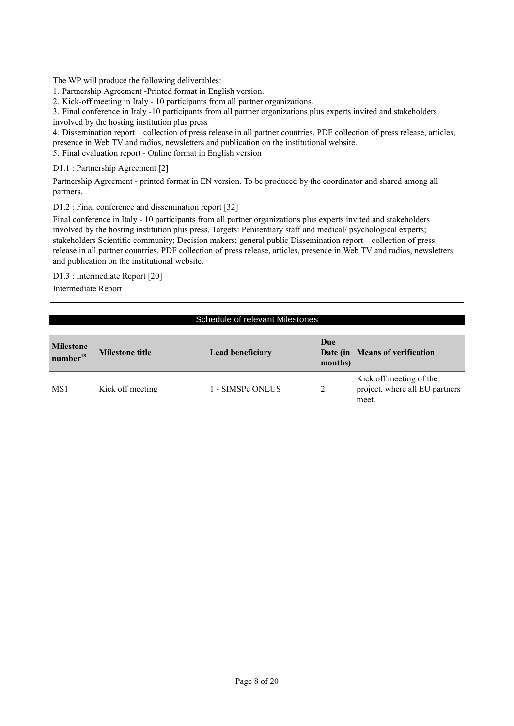The WP will produce the following deliverables:

1. Partnership Agreement -Printed format in English version.

2. Kick-off meeting in Italy - 10 participants from all partner organizations.

3. Final conference in Italy -10 participants from all partner organizations plus experts invited and stakeholders involved by the hosting institution plus press

4. Dissemination report – collection of press release in all partner countries. PDF collection of press release, articles, presence in Web TV and radios, newsletters and publication on the institutional website.

5. Final evaluation report - Online format in English version

D1.1 : Partnership Agreement [2]

Partnership Agreement - printed format in EN version. To be produced by the coordinator and shared among all partners.

D1.2 : Final conference and dissemination report [32]

Final conference in Italy - 10 participants from all partner organizations plus experts invited and stakeholders involved by the hosting institution plus press. Targets: Penitentiary staff and medical/ psychological experts; stakeholders Scientific community; Decision makers; general public Dissemination report – collection of press release in all partner countries. PDF collection of press release, articles, presence in Web TV and radios, newsletters and publication on the institutional website.

D1.3 : Intermediate Report [20]

Intermediate Report

## Schedule of relevant Milestones

| <b>Milestone</b><br>number <sup>18</sup> | Milestone title  | <b>Lead beneficiary</b> | Due<br>months) | Date (in   Means of verification                                   |
|------------------------------------------|------------------|-------------------------|----------------|--------------------------------------------------------------------|
| MS1                                      | Kick off meeting | 1 - SIMSPe ONLUS        |                | Kick off meeting of the<br>project, where all EU partners<br>meet. |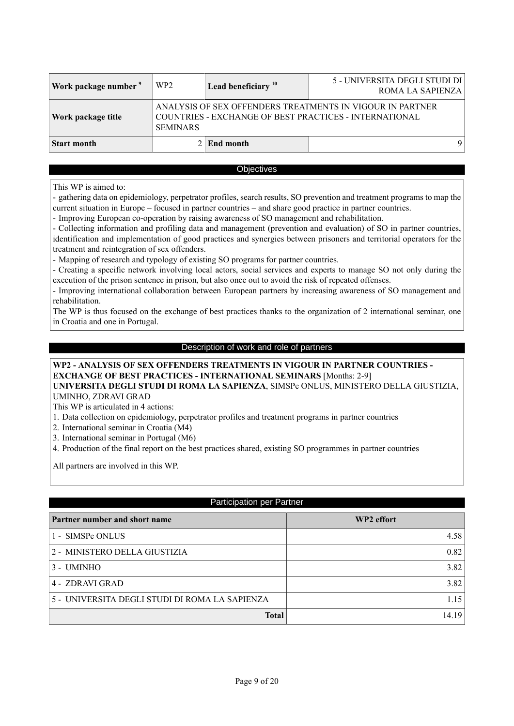| Work package number <sup>9</sup> | WP <sub>2</sub>                                                                                                                        | Lead beneficiary $10$ | 5 - UNIVERSITA DEGLI STUDI DI<br>ROMA LA SAPIENZA |  |
|----------------------------------|----------------------------------------------------------------------------------------------------------------------------------------|-----------------------|---------------------------------------------------|--|
| Work package title               | ANALYSIS OF SEX OFFENDERS TREATMENTS IN VIGOUR IN PARTNER<br>COUNTRIES - EXCHANGE OF BEST PRACTICES - INTERNATIONAL<br><b>SEMINARS</b> |                       |                                                   |  |
| Start month                      |                                                                                                                                        | $2$ End month         |                                                   |  |

## **Objectives**

This WP is aimed to:

- gathering data on epidemiology, perpetrator profiles, search results, SO prevention and treatment programs to map the current situation in Europe – focused in partner countries – and share good practice in partner countries.

- Improving European co-operation by raising awareness of SO management and rehabilitation.

- Collecting information and profiling data and management (prevention and evaluation) of SO in partner countries, identification and implementation of good practices and synergies between prisoners and territorial operators for the treatment and reintegration of sex offenders.

- Mapping of research and typology of existing SO programs for partner countries.

- Creating a specific network involving local actors, social services and experts to manage SO not only during the execution of the prison sentence in prison, but also once out to avoid the risk of repeated offenses.

- Improving international collaboration between European partners by increasing awareness of SO management and rehabilitation.

The WP is thus focused on the exchange of best practices thanks to the organization of 2 international seminar, one in Croatia and one in Portugal.

## Description of work and role of partners

### **WP2 - ANALYSIS OF SEX OFFENDERS TREATMENTS IN VIGOUR IN PARTNER COUNTRIES - EXCHANGE OF BEST PRACTICES - INTERNATIONAL SEMINARS** [Months: 2-9] **UNIVERSITA DEGLI STUDI DI ROMA LA SAPIENZA**, SIMSPe ONLUS, MINISTERO DELLA GIUSTIZIA, UMINHO, ZDRAVI GRAD

This WP is articulated in 4 actions:

1. Data collection on epidemiology, perpetrator profiles and treatment programs in partner countries

2. International seminar in Croatia (M4)

3. International seminar in Portugal (M6)

4. Production of the final report on the best practices shared, existing SO programmes in partner countries

All partners are involved in this WP.

## Participation per Partner

| Partner number and short name                  | WP2 effort |
|------------------------------------------------|------------|
| 1 - SIMSPe ONLUS                               | 4.58       |
| 2 - MINISTERO DELLA GIUSTIZIA                  | 0.82       |
| 3 - UMINHO                                     | 3.82       |
| 4 - ZDRAVI GRAD                                | 3.82       |
| 5 - UNIVERSITA DEGLI STUDI DI ROMA LA SAPIENZA | 1.15       |
| <b>Total</b>                                   | 14.19      |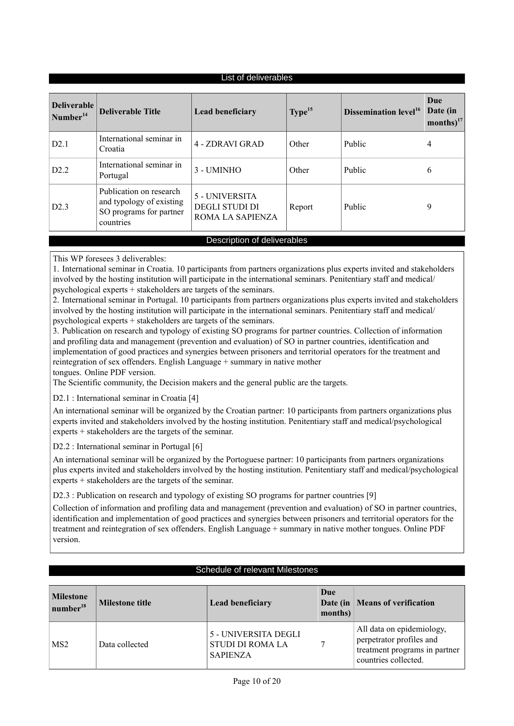| Deliverable<br>Type <sup>15</sup><br><b>Deliverable Title</b><br>Dissemination level <sup>16</sup><br>Lead beneficiary<br>Number <sup>14</sup>                                              | List of deliverables |                          |  |  |  |                                    |  |
|---------------------------------------------------------------------------------------------------------------------------------------------------------------------------------------------|----------------------|--------------------------|--|--|--|------------------------------------|--|
|                                                                                                                                                                                             |                      |                          |  |  |  | Due<br>Date (in<br>months) $^{17}$ |  |
| 4 - ZDRAVI GRAD<br>D2.1<br>Public<br>Other<br>4<br>Croatia                                                                                                                                  |                      | International seminar in |  |  |  |                                    |  |
| International seminar in<br>D2.2<br>3 - UMINHO<br>Public<br>Other<br>6<br>Portugal                                                                                                          |                      |                          |  |  |  |                                    |  |
| Publication on research<br>5 - UNIVERSITA<br>and typology of existing<br><b>DEGLI STUDI DI</b><br>Public<br>9<br>D2.3<br>Report<br>SO programs for partner<br>ROMA LA SAPIENZA<br>countries |                      |                          |  |  |  |                                    |  |

## Description of deliverables

This WP foresees 3 deliverables:

1. International seminar in Croatia. 10 participants from partners organizations plus experts invited and stakeholders involved by the hosting institution will participate in the international seminars. Penitentiary staff and medical/ psychological experts + stakeholders are targets of the seminars.

2. International seminar in Portugal. 10 participants from partners organizations plus experts invited and stakeholders involved by the hosting institution will participate in the international seminars. Penitentiary staff and medical/ psychological experts + stakeholders are targets of the seminars.

3. Publication on research and typology of existing SO programs for partner countries. Collection of information and profiling data and management (prevention and evaluation) of SO in partner countries, identification and implementation of good practices and synergies between prisoners and territorial operators for the treatment and reintegration of sex offenders. English Language + summary in native mother

tongues. Online PDF version.

The Scientific community, the Decision makers and the general public are the targets.

D2.1 : International seminar in Croatia [4]

An international seminar will be organized by the Croatian partner: 10 participants from partners organizations plus experts invited and stakeholders involved by the hosting institution. Penitentiary staff and medical/psychological experts + stakeholders are the targets of the seminar.

D2.2 : International seminar in Portugal [6]

An international seminar will be organized by the Portoguese partner: 10 participants from partners organizations plus experts invited and stakeholders involved by the hosting institution. Penitentiary staff and medical/psychological experts + stakeholders are the targets of the seminar.

D2.3 : Publication on research and typology of existing SO programs for partner countries [9]

Collection of information and profiling data and management (prevention and evaluation) of SO in partner countries, identification and implementation of good practices and synergies between prisoners and territorial operators for the treatment and reintegration of sex offenders. English Language + summary in native mother tongues. Online PDF version.

## Schedule of relevant Milestones

| <b>Milestone</b><br>number <sup>18</sup> | <b>Milestone title</b> | <b>Lead beneficiary</b>                                            | Due<br>months) | Date (in   Means of verification                                                                               |
|------------------------------------------|------------------------|--------------------------------------------------------------------|----------------|----------------------------------------------------------------------------------------------------------------|
| MS <sub>2</sub>                          | Data collected         | 5 - UNIVERSITA DEGLI<br><b>STUDI DI ROMA LA</b><br><b>SAPIENZA</b> |                | All data on epidemiology,<br>perpetrator profiles and<br>treatment programs in partner<br>countries collected. |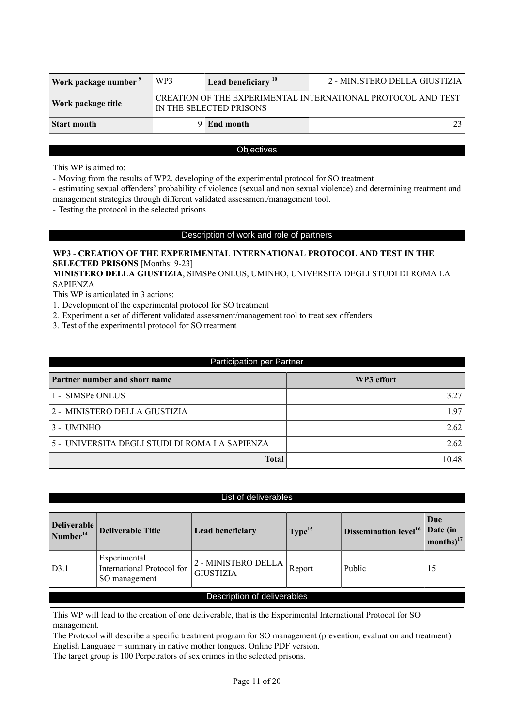| Work package number | WP3 | 2 - MINISTERO DELLA GIUSTIZIA<br>Lead beneficiary $10$                                  |      |  |  |  |
|---------------------|-----|-----------------------------------------------------------------------------------------|------|--|--|--|
| Work package title  |     | CREATION OF THE EXPERIMENTAL INTERNATIONAL PROTOCOL AND TEST<br>IN THE SELECTED PRISONS |      |  |  |  |
| Start month         |     | $9 \mid$ End month                                                                      | 23 I |  |  |  |

### **Objectives**

This WP is aimed to:

- Moving from the results of WP2, developing of the experimental protocol for SO treatment

- estimating sexual offenders' probability of violence (sexual and non sexual violence) and determining treatment and management strategies through different validated assessment/management tool.

- Testing the protocol in the selected prisons

## Description of work and role of partners

## **WP3 - CREATION OF THE EXPERIMENTAL INTERNATIONAL PROTOCOL AND TEST IN THE SELECTED PRISONS** [Months: 9-23]

**MINISTERO DELLA GIUSTIZIA**, SIMSPe ONLUS, UMINHO, UNIVERSITA DEGLI STUDI DI ROMA LA SAPIENZA

This WP is articulated in 3 actions:

- 1. Development of the experimental protocol for SO treatment
- 2. Experiment a set of different validated assessment/management tool to treat sex offenders
- 3. Test of the experimental protocol for SO treatment

| <b>Participation per Partner</b>               |       |  |  |  |  |
|------------------------------------------------|-------|--|--|--|--|
| Partner number and short name<br>WP3 effort    |       |  |  |  |  |
| 1 - SIMSPe ONLUS                               | 3.27  |  |  |  |  |
| 2 - MINISTERO DELLA GIUSTIZIA                  | 1.97  |  |  |  |  |
| 3 - UMINHO                                     | 2.62  |  |  |  |  |
| 5 - UNIVERSITA DEGLI STUDI DI ROMA LA SAPIENZA | 2.62  |  |  |  |  |
| <b>Total</b>                                   | 10.48 |  |  |  |  |

### List of deliverables

| Deliverable<br>$\sqrt{N$ umber <sup>14</sup> | <b>Deliverable Title</b>                                    | <b>Lead beneficiary</b>                 | Type <sup>15</sup> | <b>Dissemination level</b> <sup>16</sup> | Due<br>Date (in<br>months $)^{17}$ |
|----------------------------------------------|-------------------------------------------------------------|-----------------------------------------|--------------------|------------------------------------------|------------------------------------|
| D3.1                                         | Experimental<br>International Protocol for<br>SO management | 2 - MINISTERO DELLA<br><b>GIUSTIZIA</b> | Report             | Public                                   | 15                                 |
| Desaulation of deliverables                  |                                                             |                                         |                    |                                          |                                    |

## Description of deliverables

This WP will lead to the creation of one deliverable, that is the Experimental International Protocol for SO management.

The Protocol will describe a specific treatment program for SO management (prevention, evaluation and treatment). English Language + summary in native mother tongues. Online PDF version.

The target group is 100 Perpetrators of sex crimes in the selected prisons.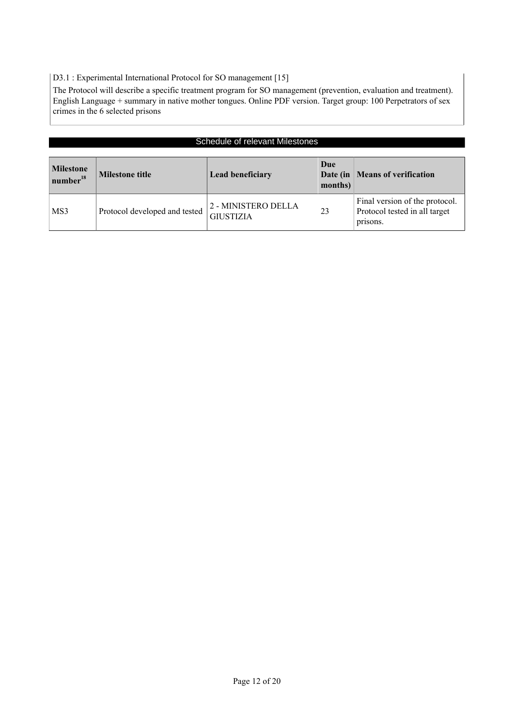D3.1 : Experimental International Protocol for SO management [15]

The Protocol will describe a specific treatment program for SO management (prevention, evaluation and treatment). English Language + summary in native mother tongues. Online PDF version. Target group: 100 Perpetrators of sex crimes in the 6 selected prisons

| <b>Schedule of relevant Milestones</b>   |                               |                                         |                |                                                                             |
|------------------------------------------|-------------------------------|-----------------------------------------|----------------|-----------------------------------------------------------------------------|
| <b>Milestone</b><br>number <sup>18</sup> | <b>Milestone title</b>        | <b>Lead beneficiary</b>                 | Due<br>months) | Date (in   Means of verification                                            |
| MS3                                      | Protocol developed and tested | 2 - MINISTERO DELLA<br><b>GIUSTIZIA</b> | 23             | Final version of the protocol.<br>Protocol tested in all target<br>prisons. |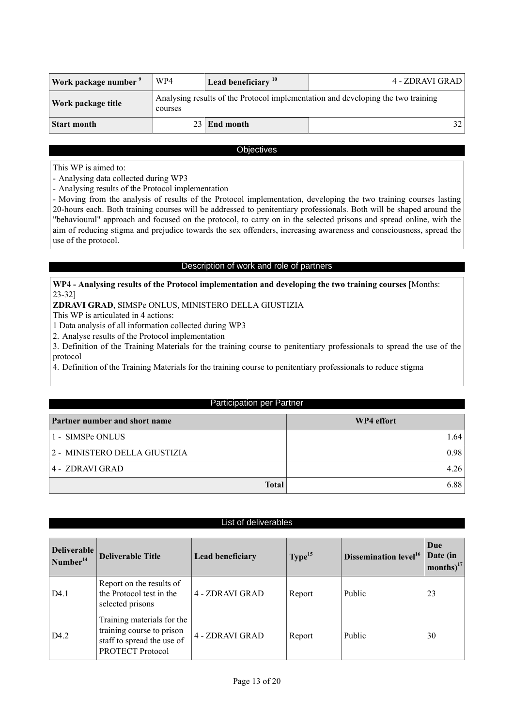| Work package number <sup>9</sup> | WP4     | Lead beneficiary <sup>10</sup>                                                   | 4 - ZDRAVI GRAD |  |  |
|----------------------------------|---------|----------------------------------------------------------------------------------|-----------------|--|--|
| Work package title               | courses | Analysing results of the Protocol implementation and developing the two training |                 |  |  |
| <b>Start month</b>               |         | $23$ End month                                                                   | 32.             |  |  |

## **Objectives**

This WP is aimed to:

- Analysing data collected during WP3

- Analysing results of the Protocol implementation

- Moving from the analysis of results of the Protocol implementation, developing the two training courses lasting 20-hours each. Both training courses will be addressed to penitentiary professionals. Both will be shaped around the "behavioural" approach and focused on the protocol, to carry on in the selected prisons and spread online, with the aim of reducing stigma and prejudice towards the sex offenders, increasing awareness and consciousness, spread the use of the protocol.

## Description of work and role of partners

## **WP4 - Analysing results of the Protocol implementation and developing the two training courses** [Months: 23-32]

**ZDRAVI GRAD**, SIMSPe ONLUS, MINISTERO DELLA GIUSTIZIA

This WP is articulated in 4 actions:

1 Data analysis of all information collected during WP3

2. Analyse results of the Protocol implementation

3. Definition of the Training Materials for the training course to penitentiary professionals to spread the use of the protocol

4. Definition of the Training Materials for the training course to penitentiary professionals to reduce stigma

## Participation per Partner

| Partner number and short name | WP4 effort |
|-------------------------------|------------|
| 1 - SIMSPe ONLUS              | 1.64       |
| 2 - MINISTERO DELLA GIUSTIZIA | 0.98       |
| 4 - ZDRAVI GRAD               | 4.26       |
| <b>Total</b>                  | 6.88       |

### List of deliverables

| Deliverable<br>Number <sup>14</sup> | <b>Deliverable Title</b>                                                                                         | <b>Lead beneficiary</b> | Type <sup>15</sup> | Dissemination level <sup>16</sup> | Due<br>Date (in<br>months) $^{17}$ |
|-------------------------------------|------------------------------------------------------------------------------------------------------------------|-------------------------|--------------------|-----------------------------------|------------------------------------|
| D <sub>4.1</sub>                    | Report on the results of<br>the Protocol test in the<br>selected prisons                                         | 4 - ZDRAVI GRAD         | Report             | Public                            | 23                                 |
| D <sub>4.2</sub>                    | Training materials for the<br>training course to prison<br>staff to spread the use of<br><b>PROTECT Protocol</b> | 4 - ZDRAVI GRAD         | Report             | Public                            | 30                                 |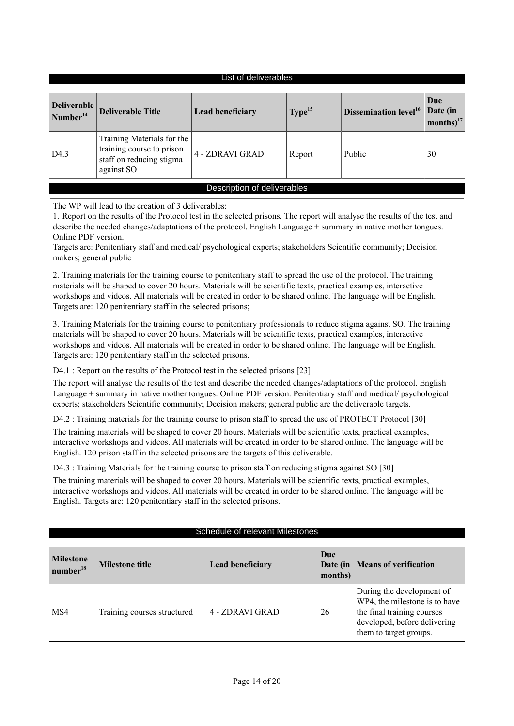## List of deliverables

| <b>Deliverable</b><br>Number <sup>14</sup> | <b>Deliverable Title</b>                                                                          | <b>Lead beneficiary</b> | Type <sup>15</sup> | Dissemination level <sup>16</sup> | Due<br>Date (in<br>months) $17$ |
|--------------------------------------------|---------------------------------------------------------------------------------------------------|-------------------------|--------------------|-----------------------------------|---------------------------------|
| D <sub>4.3</sub>                           | Training Materials for the<br>training course to prison<br>staff on reducing stigma<br>against SO | 4 - ZDRAVI GRAD         | Report             | Public                            | 30                              |
| Description of deliverables                |                                                                                                   |                         |                    |                                   |                                 |

The WP will lead to the creation of 3 deliverables:

1. Report on the results of the Protocol test in the selected prisons. The report will analyse the results of the test and describe the needed changes/adaptations of the protocol. English Language + summary in native mother tongues. Online PDF version.

Targets are: Penitentiary staff and medical/ psychological experts; stakeholders Scientific community; Decision makers; general public

2. Training materials for the training course to penitentiary staff to spread the use of the protocol. The training materials will be shaped to cover 20 hours. Materials will be scientific texts, practical examples, interactive workshops and videos. All materials will be created in order to be shared online. The language will be English. Targets are: 120 penitentiary staff in the selected prisons;

3. Training Materials for the training course to penitentiary professionals to reduce stigma against SO. The training materials will be shaped to cover 20 hours. Materials will be scientific texts, practical examples, interactive workshops and videos. All materials will be created in order to be shared online. The language will be English. Targets are: 120 penitentiary staff in the selected prisons.

D4.1 : Report on the results of the Protocol test in the selected prisons [23]

The report will analyse the results of the test and describe the needed changes/adaptations of the protocol. English Language + summary in native mother tongues. Online PDF version. Penitentiary staff and medical/ psychological experts; stakeholders Scientific community; Decision makers; general public are the deliverable targets.

D4.2 : Training materials for the training course to prison staff to spread the use of PROTECT Protocol [30]

The training materials will be shaped to cover 20 hours. Materials will be scientific texts, practical examples, interactive workshops and videos. All materials will be created in order to be shared online. The language will be English. 120 prison staff in the selected prisons are the targets of this deliverable.

D4.3 : Training Materials for the training course to prison staff on reducing stigma against SO [30]

The training materials will be shaped to cover 20 hours. Materials will be scientific texts, practical examples, interactive workshops and videos. All materials will be created in order to be shared online. The language will be English. Targets are: 120 penitentiary staff in the selected prisons.

### Schedule of relevant Milestones

| <b>Milestone</b><br>number <sup>18</sup> | <b>Milestone title</b>      | <b>Lead beneficiary</b> | Due<br>months) | Date (in   Means of verification                                                                                                                   |
|------------------------------------------|-----------------------------|-------------------------|----------------|----------------------------------------------------------------------------------------------------------------------------------------------------|
| MS4                                      | Training courses structured | 4 - ZDRAVI GRAD         | 26             | During the development of<br>WP4, the milestone is to have<br>the final training courses<br>developed, before delivering<br>them to target groups. |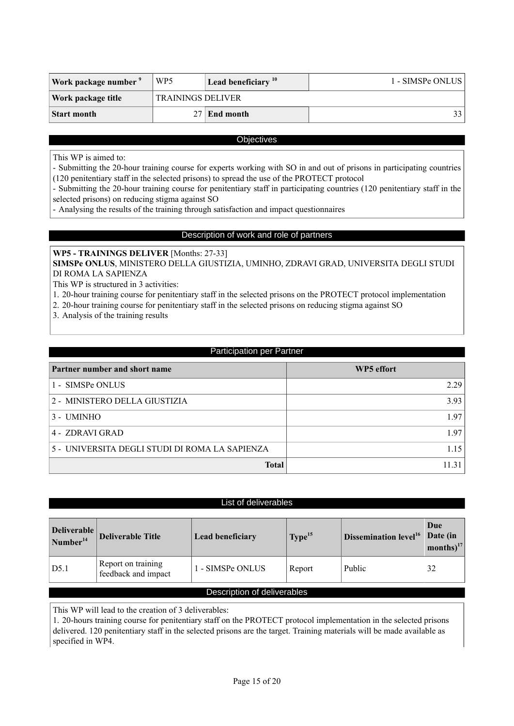| Work package number | WP <sub>5</sub>          | Lead beneficiary $10$ | 1 - SIMSPe ONLUS |  |
|---------------------|--------------------------|-----------------------|------------------|--|
| Work package title  | <b>TRAININGS DELIVER</b> |                       |                  |  |
| Start month         |                          | End month             | 33 I             |  |

## **Objectives**

This WP is aimed to:

- Submitting the 20-hour training course for experts working with SO in and out of prisons in participating countries (120 penitentiary staff in the selected prisons) to spread the use of the PROTECT protocol

- Submitting the 20-hour training course for penitentiary staff in participating countries (120 penitentiary staff in the selected prisons) on reducing stigma against SO

- Analysing the results of the training through satisfaction and impact questionnaires

## Description of work and role of partners

## **WP5 - TRAININGS DELIVER** [Months: 27-33]

**SIMSPe ONLUS**, MINISTERO DELLA GIUSTIZIA, UMINHO, ZDRAVI GRAD, UNIVERSITA DEGLI STUDI DI ROMA LA SAPIENZA

This WP is structured in 3 activities:

1. 20-hour training course for penitentiary staff in the selected prisons on the PROTECT protocol implementation

- 2. 20-hour training course for penitentiary staff in the selected prisons on reducing stigma against SO
- 3. Analysis of the training results

## Participation per Partner

| Partner number and short name                  | WP5 effort |
|------------------------------------------------|------------|
| 1 - SIMSPe ONLUS                               | 2.29       |
| 2 - MINISTERO DELLA GIUSTIZIA                  | 3.93       |
| $3 - UMINHO$                                   | 1.97       |
| 4 - ZDRAVI GRAD                                | 197        |
| 5 - UNIVERSITA DEGLI STUDI DI ROMA LA SAPIENZA | 1.15       |
| <b>Total</b>                                   |            |

## List of deliverables

| $\begin{array}{c}\n\textbf{Deliverable} \\ \textbf{Number}^{14}\n\end{array}$ | <b>Deliverable Title</b>                  | <b>Lead beneficiary</b> | Type <sup>15</sup> | Dissemination level <sup>16</sup> | Due<br>Date (in<br>months) $^{17}$ |
|-------------------------------------------------------------------------------|-------------------------------------------|-------------------------|--------------------|-----------------------------------|------------------------------------|
| D5.1                                                                          | Report on training<br>feedback and impact | 1 - SIMSPe ONLUS        | Report             | Public                            | 32                                 |
| Description of deliverables                                                   |                                           |                         |                    |                                   |                                    |

This WP will lead to the creation of 3 deliverables:

1. 20-hours training course for penitentiary staff on the PROTECT protocol implementation in the selected prisons delivered. 120 penitentiary staff in the selected prisons are the target. Training materials will be made available as specified in WP4.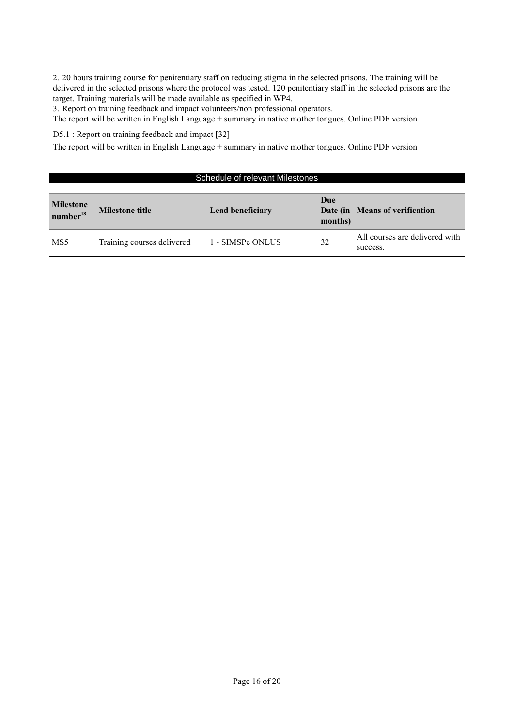2. 20 hours training course for penitentiary staff on reducing stigma in the selected prisons. The training will be delivered in the selected prisons where the protocol was tested. 120 penitentiary staff in the selected prisons are the target. Training materials will be made available as specified in WP4.

3. Report on training feedback and impact volunteers/non professional operators.

The report will be written in English Language + summary in native mother tongues. Online PDF version

D5.1 : Report on training feedback and impact [32]

The report will be written in English Language + summary in native mother tongues. Online PDF version

## Schedule of relevant Milestones

| <b>Milestone</b><br>$\mu$ number <sup>18</sup> | <b>Milestone title</b>     | <b>Lead beneficiary</b> | Due<br>months) | Date (in   Means of verification           |
|------------------------------------------------|----------------------------|-------------------------|----------------|--------------------------------------------|
| MS <sub>5</sub>                                | Training courses delivered | 1 - SIMSPe ONLUS        | 32             | All courses are delivered with<br>success. |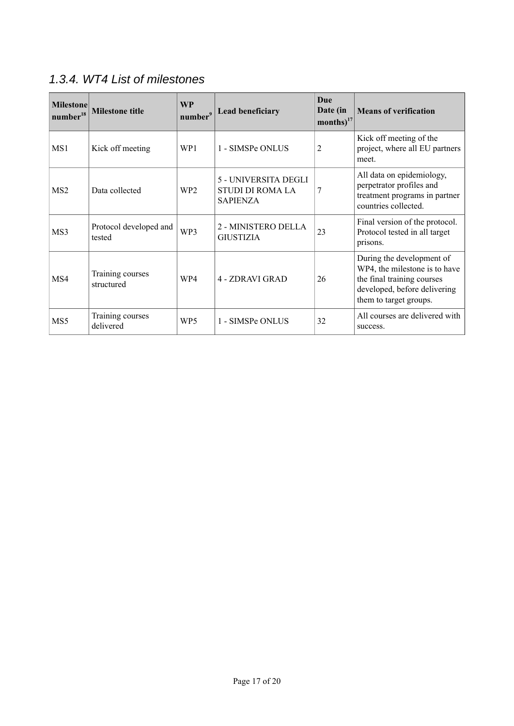## 1.3.4. WT4 List of milestones

| <b>Milestone</b><br>number <sup>18</sup> | <b>Milestone title</b>           | <b>WP</b><br>number <sup>9</sup> | <b>Lead beneficiary</b>                                            | <b>Due</b><br>Date (in<br>$\text{months}\right)^{17}$ | <b>Means of verification</b>                                                                                                                       |
|------------------------------------------|----------------------------------|----------------------------------|--------------------------------------------------------------------|-------------------------------------------------------|----------------------------------------------------------------------------------------------------------------------------------------------------|
| MS1                                      | Kick off meeting                 | WP <sub>1</sub>                  | 1 - SIMSPe ONLUS                                                   | 2                                                     | Kick off meeting of the<br>project, where all EU partners<br>meet.                                                                                 |
| MS <sub>2</sub>                          | Data collected                   | WP <sub>2</sub>                  | 5 - UNIVERSITA DEGLI<br><b>STUDI DI ROMA LA</b><br><b>SAPIENZA</b> | 7                                                     | All data on epidemiology,<br>perpetrator profiles and<br>treatment programs in partner<br>countries collected.                                     |
| MS3                                      | Protocol developed and<br>tested | WP3                              | 2 - MINISTERO DELLA<br><b>GIUSTIZIA</b>                            | 23                                                    | Final version of the protocol.<br>Protocol tested in all target<br>prisons.                                                                        |
| MS4                                      | Training courses<br>structured   | WP4                              | 4 - ZDRAVI GRAD                                                    | 26                                                    | During the development of<br>WP4, the milestone is to have<br>the final training courses<br>developed, before delivering<br>them to target groups. |
| MS <sub>5</sub>                          | Training courses<br>delivered    | WP <sub>5</sub>                  | 1 - SIMSPe ONLUS                                                   | 32                                                    | All courses are delivered with<br>success.                                                                                                         |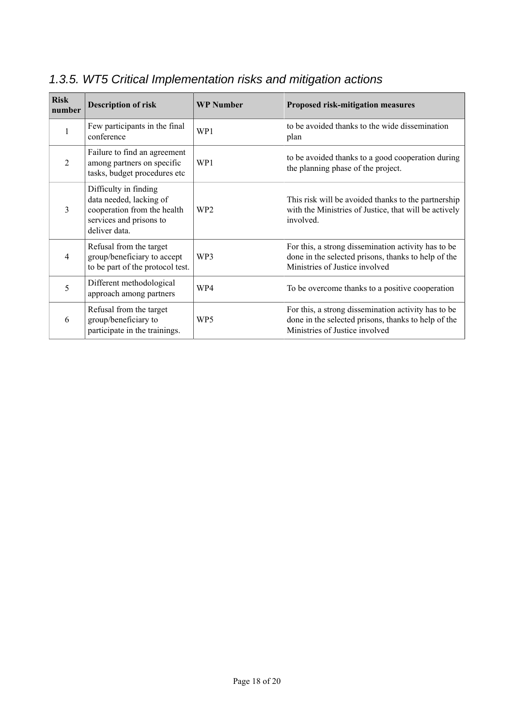| <b>Risk</b><br>number | <b>Description of risk</b>                                                                                                  | <b>WP Number</b> | Proposed risk-mitigation measures                                                                                                            |
|-----------------------|-----------------------------------------------------------------------------------------------------------------------------|------------------|----------------------------------------------------------------------------------------------------------------------------------------------|
| 1                     | Few participants in the final<br>conference                                                                                 | WP1              | to be avoided thanks to the wide dissemination<br>plan                                                                                       |
| $\overline{2}$        | Failure to find an agreement<br>among partners on specific<br>tasks, budget procedures etc                                  | WP1              | to be avoided thanks to a good cooperation during<br>the planning phase of the project.                                                      |
| 3                     | Difficulty in finding<br>data needed, lacking of<br>cooperation from the health<br>services and prisons to<br>deliver data. | WP <sub>2</sub>  | This risk will be avoided thanks to the partnership<br>with the Ministries of Justice, that will be actively<br>involved.                    |
| 4                     | Refusal from the target<br>group/beneficiary to accept<br>to be part of the protocol test.                                  | WP3              | For this, a strong dissemination activity has to be<br>done in the selected prisons, thanks to help of the<br>Ministries of Justice involved |
| 5                     | Different methodological<br>approach among partners                                                                         | WP4              | To be overcome thanks to a positive cooperation                                                                                              |
| 6                     | Refusal from the target<br>group/beneficiary to<br>participate in the trainings.                                            | WP5              | For this, a strong dissemination activity has to be<br>done in the selected prisons, thanks to help of the<br>Ministries of Justice involved |

## 1.3.5. WT5 Critical Implementation risks and mitigation actions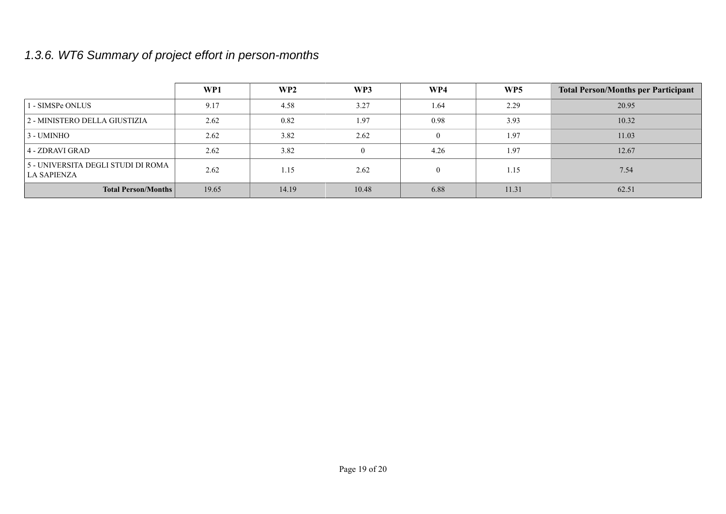## 1.3.6. WT6 Summary of project effort in person-months

|                                                   | WP1   | WP2   | WP3      | WP4            | WP5   | <b>Total Person/Months per Participant</b> |
|---------------------------------------------------|-------|-------|----------|----------------|-------|--------------------------------------------|
| 1 - SIMSPe ONLUS                                  | 9.17  | 4.58  | 3.27     | 1.64           | 2.29  | 20.95                                      |
| 2 - MINISTERO DELLA GIUSTIZIA                     | 2.62  | 0.82  | 1.97     | 0.98           | 3.93  | 10.32                                      |
| 3 - UMINHO                                        | 2.62  | 3.82  | 2.62     | $\overline{0}$ | 1.97  | 11.03                                      |
| 4 - ZDRAVI GRAD                                   | 2.62  | 3.82  | $\theta$ | 4.26           | 1.97  | 12.67                                      |
| 5 - UNIVERSITA DEGLI STUDI DI ROMA<br>LA SAPIENZA | 2.62  | 1.15  | 2.62     | $\theta$       | 1.15  | 7.54                                       |
| <b>Total Person/Months</b>                        | 19.65 | 14.19 | 10.48    | 6.88           | 11.31 | 62.51                                      |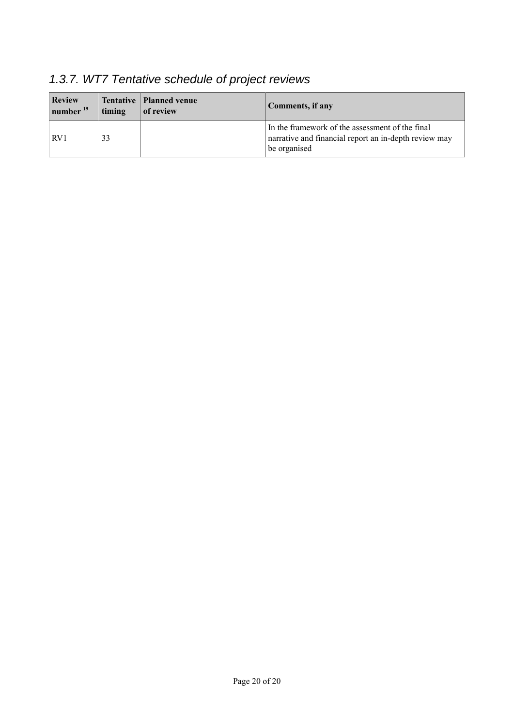| <b>Review</b><br>$\vert$ number $^{19}$ | timing | Tentative   Planned venue<br>of review | Comments, if any                                                                                                         |
|-----------------------------------------|--------|----------------------------------------|--------------------------------------------------------------------------------------------------------------------------|
| RV1                                     | 33     |                                        | In the framework of the assessment of the final<br>narrative and financial report an in-depth review may<br>be organised |

## 1.3.7. WT7 Tentative schedule of project reviews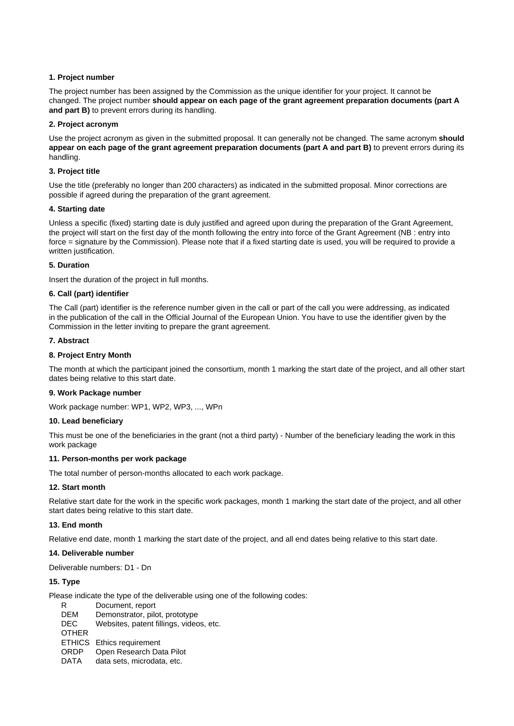#### <span id="page-20-0"></span>**1. Project number**

The project number has been assigned by the Commission as the unique identifier for your project. It cannot be changed. The project number **should appear on each page of the grant agreement preparation documents (part A and part B)** to prevent errors during its handling.

#### <span id="page-20-1"></span>**2. Project acronym**

Use the project acronym as given in the submitted proposal. It can generally not be changed. The same acronym **should appear on each page of the grant agreement preparation documents (part A and part B)** to prevent errors during its handling.

#### <span id="page-20-2"></span>**3. Project title**

Use the title (preferably no longer than 200 characters) as indicated in the submitted proposal. Minor corrections are possible if agreed during the preparation of the grant agreement.

#### <span id="page-20-3"></span>**4. Starting date**

Unless a specific (fixed) starting date is duly justified and agreed upon during the preparation of the Grant Agreement, the project will start on the first day of the month following the entry into force of the Grant Agreement (NB : entry into force = signature by the Commission). Please note that if a fixed starting date is used, you will be required to provide a written justification.

#### <span id="page-20-4"></span>**5. Duration**

Insert the duration of the project in full months.

#### <span id="page-20-5"></span>**6. Call (part) identifier**

The Call (part) identifier is the reference number given in the call or part of the call you were addressing, as indicated in the publication of the call in the Official Journal of the European Union. You have to use the identifier given by the Commission in the letter inviting to prepare the grant agreement.

#### <span id="page-20-6"></span>**7. Abstract**

#### <span id="page-20-7"></span>**8. Project Entry Month**

The month at which the participant joined the consortium, month 1 marking the start date of the project, and all other start dates being relative to this start date.

#### <span id="page-20-8"></span>**9. Work Package number**

Work package number: WP1, WP2, WP3, ..., WPn

#### <span id="page-20-9"></span>**10. Lead beneficiary**

This must be one of the beneficiaries in the grant (not a third party) - Number of the beneficiary leading the work in this work package

#### <span id="page-20-10"></span>**11. Person-months per work package**

The total number of person-months allocated to each work package.

#### <span id="page-20-11"></span>**12. Start month**

Relative start date for the work in the specific work packages, month 1 marking the start date of the project, and all other start dates being relative to this start date.

#### <span id="page-20-12"></span>**13. End month**

Relative end date, month 1 marking the start date of the project, and all end dates being relative to this start date.

#### <span id="page-20-13"></span>**14. Deliverable number**

Deliverable numbers: D1 - Dn

### <span id="page-20-14"></span>**15. Type**

Please indicate the type of the deliverable using one of the following codes:

R Document, report DEM Demonstrator, pilot, prototype DEC Websites, patent fillings, videos, etc. **OTHER** ETHICS Ethics requirement ORDP Open Research Data Pilot DATA data sets, microdata, etc.